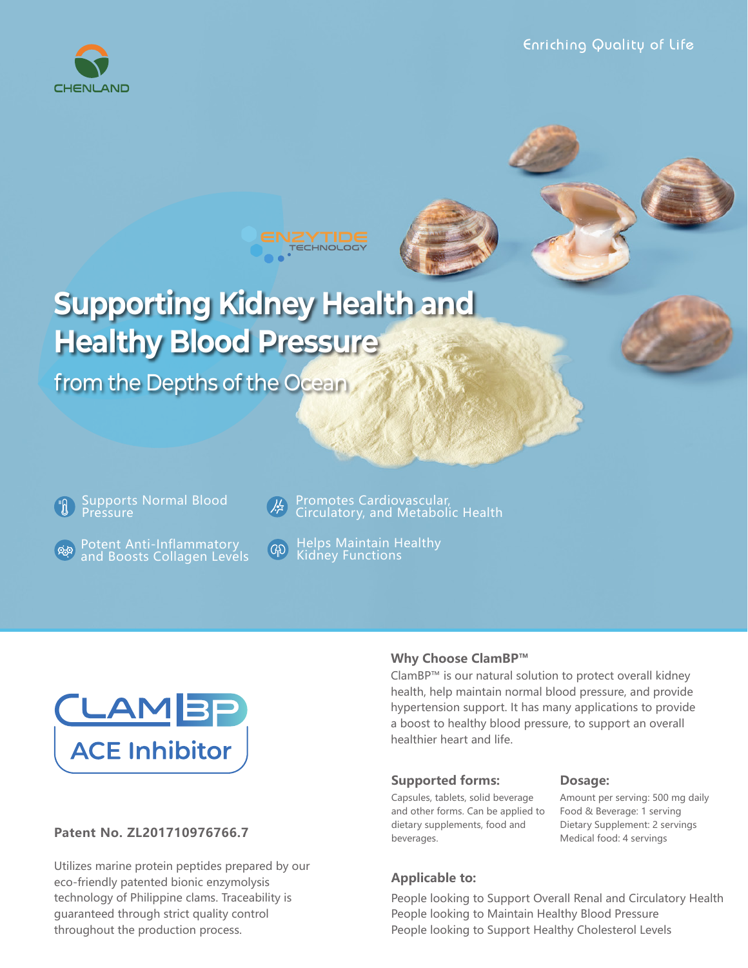



# **Supporting Kidney Health and Healthy Blood Pressure**

from the Depths of the Ocean,



Potent Anti-Inflammatory (GD) Helps Maintain Healthy<br>and Boosts Collagen Levels (Kidney Functions and Boosts Collagen Levels



TECHNOLOGY



### **Patent No. ZL201710976766.7**

Utilizes marine protein peptides prepared by our eco-friendly patented bionic enzymolysis technology of Philippine clams. Traceability is guaranteed through strict quality control throughout the production process.

### **Why Choose ClamBP™**

ClamBP™ is our natural solution to protect overall kidney health, help maintain normal blood pressure, and provide hypertension support. It has many applications to provide a boost to healthy blood pressure, to support an overall healthier heart and life.

### **Supported forms: Dosage:**

Capsules, tablets, solid beverage and other forms. Can be applied to dietary supplements, food and beverages.

Amount per serving: 500 mg daily Food & Beverage: 1 serving Dietary Supplement: 2 servings Medical food: 4 servings

## **Applicable to:**

People looking to Support Overall Renal and Circulatory Health People looking to Maintain Healthy Blood Pressure People looking to Support Healthy Cholesterol Levels